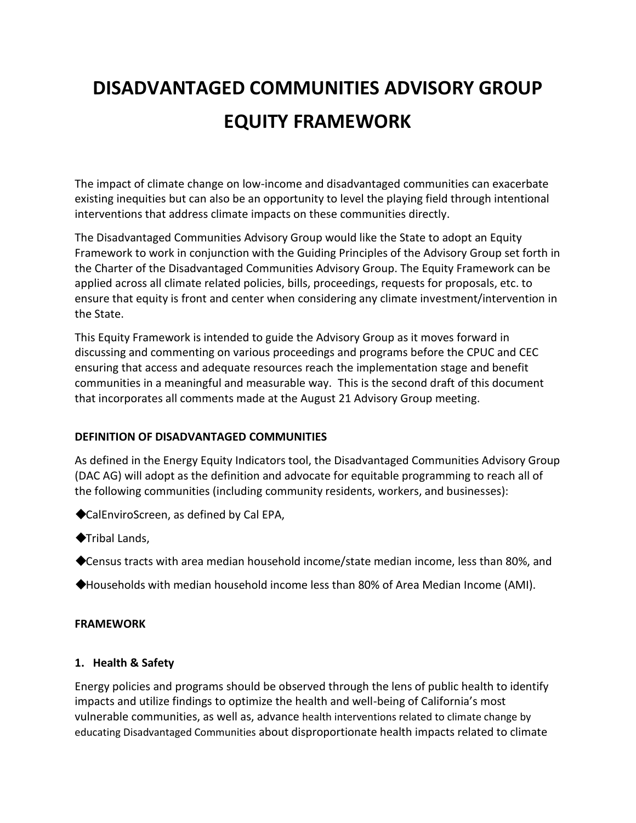# **DISADVANTAGED COMMUNITIES ADVISORY GROUP EQUITY FRAMEWORK**

The impact of climate change on low-income and disadvantaged communities can exacerbate existing inequities but can also be an opportunity to level the playing field through intentional interventions that address climate impacts on these communities directly.

The Disadvantaged Communities Advisory Group would like the State to adopt an Equity Framework to work in conjunction with the Guiding Principles of the Advisory Group set forth in the Charter of the Disadvantaged Communities Advisory Group. The Equity Framework can be applied across all climate related policies, bills, proceedings, requests for proposals, etc. to ensure that equity is front and center when considering any climate investment/intervention in the State.

This Equity Framework is intended to guide the Advisory Group as it moves forward in discussing and commenting on various proceedings and programs before the CPUC and CEC ensuring that access and adequate resources reach the implementation stage and benefit communities in a meaningful and measurable way. This is the second draft of this document that incorporates all comments made at the August 21 Advisory Group meeting.

## **DEFINITION OF DISADVANTAGED COMMUNITIES**

As defined in the Energy Equity Indicators tool, the Disadvantaged Communities Advisory Group (DAC AG) will adopt as the definition and advocate for equitable programming to reach all of the following communities (including community residents, workers, and businesses):

◆CalEnviroScreen, as defined by Cal EPA,

- ◆Tribal Lands,
- ◆Census tracts with area median household income/state median income, less than 80%, and
- ◆Households with median household income less than 80% of Area Median Income (AMI).

## **FRAMEWORK**

## **1. Health & Safety**

Energy policies and programs should be observed through the lens of public health to identify impacts and utilize findings to optimize the health and well-being of California's most vulnerable communities, as well as, advance health interventions related to climate change by educating Disadvantaged Communities about disproportionate health impacts related to climate